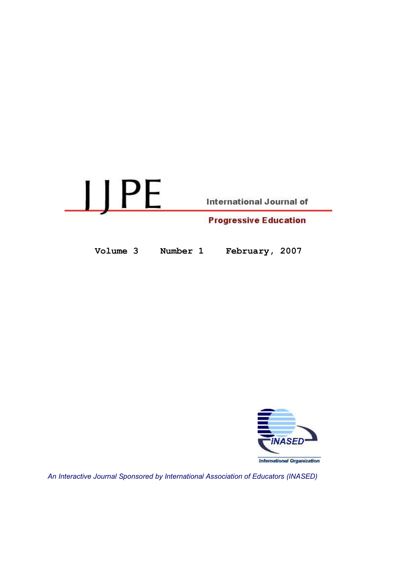

Volume 3 Number 1 February, 2007



An Interactive Journal Sponsored by International Association of Educators (INASED)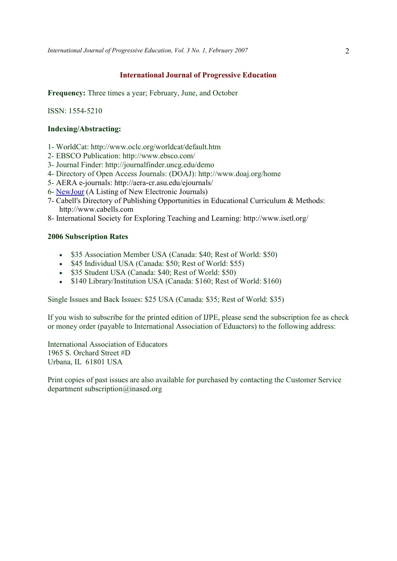# International Journal of Progressive Education

Frequency: Three times a year; February, June, and October

ISSN: 1554-5210

# Indexing/Abstracting:

- 1- WorldCat: http://www.oclc.org/worldcat/default.htm
- 2- EBSCO Publication: http://www.ebsco.com/
- 3- Journal Finder: http://journalfinder.uncg.edu/demo
- 4- Directory of Open Access Journals: (DOAJ): http://www.doaj.org/home
- 5- AERA e-journals: http://aera-cr.asu.edu/ejournals/
- 6- NewJour (A Listing of New Electronic Journals)
- 7- Cabell's Directory of Publishing Opportunities in Educational Curriculum & Methods: http://www.cabells.com
- 8- International Society for Exploring Teaching and Learning: http://www.isetl.org/

## 2006 Subscription Rates

- \$35 Association Member USA (Canada: \$40; Rest of World: \$50)
- \$45 Individual USA (Canada: \$50; Rest of World: \$55)
- \$35 Student USA (Canada: \$40; Rest of World: \$50)
- \$140 Library/Institution USA (Canada: \$160; Rest of World: \$160)

Single Issues and Back Issues: \$25 USA (Canada: \$35; Rest of World: \$35)

If you wish to subscribe for the printed edition of IJPE, please send the subscription fee as check or money order (payable to International Association of Eduactors) to the following address:

International Association of Educators 1965 S. Orchard Street #D Urbana, IL 61801 USA

Print copies of past issues are also available for purchased by contacting the Customer Service department subscription@inased.org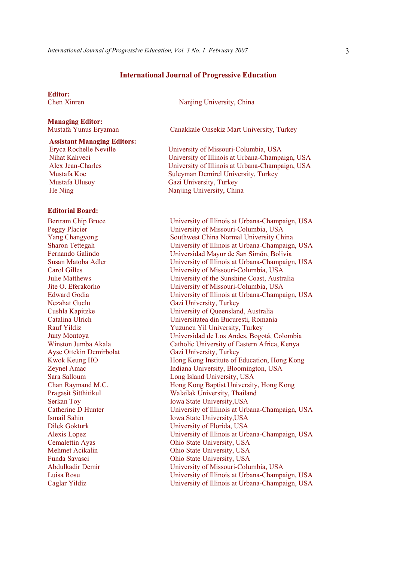#### International Journal of Progressive Education

Editor:<br>Chen Xinren

# Managing Editor:

Assistant Managing Editors:

Eryca Rochelle Neville Nihat Kahveci Alex Jean-Charles Mustafa Koc Mustafa Ulusoy He Ning

### Editorial Board:

Bertram Chip Bruce Peggy Placier Yang Changyong Sharon Tettegah Fernando Galindo Susan Matoba Adler Carol Gilles Julie Matthews Jite O. Eferakorho Edward Godia Nezahat Guclu Cushla Kapitzke Catalina Ulrich Rauf Yildiz Juny Montoya Winston Jumba Akala Ayse Ottekin Demirbolat Kwok Keung HO Zeynel Amac Sara Salloum Chan Raymand M.C. Pragasit Sitthitikul Serkan Toy Catherine D Hunter Ismail Sahin Dilek Gokturk Alexis Lopez Cemalettin Ayas Mehmet Acikalin Funda Savasci Abdulkadir Demir Luisa Rosu Caglar Yildiz

Nanjing University, China

Mustafa Yunus Eryaman Canakkale Onsekiz Mart University, Turkey

University of Missouri-Columbia, USA University of Illinois at Urbana-Champaign, USA University of Illinois at Urbana-Champaign, USA Suleyman Demirel University, Turkey Gazi University, Turkey Nanjing University, China

University of Illinois at Urbana-Champaign, USA University of Missouri-Columbia, USA Southwest China Normal University China University of Illinois at Urbana-Champaign, USA University of Illinois at Urbana-Champaign, USA University of Missouri-Columbia, USA University of the Sunshine Coast, Australia University of Missouri-Columbia, USA University of Illinois at Urbana-Champaign, USA Gazi University, Turkey University of Queensland, Australia Universitatea din Bucuresti, Romania Yuzuncu Yil University, Turkey Universidad de Los Andes, Bogotá, Colombia Catholic University of Eastern Africa, Kenya Gazi University, Turkey Hong Kong Institute of Education, Hong Kong Indiana University, Bloomington, USA Long Island University, USA Hong Kong Baptist University, Hong Kong Walailak University, Thailand Iowa State University,USA University of Illinois at Urbana-Champaign, USA Iowa State University,USA University of Florida, USA University of Illinois at Urbana-Champaign, USA Ohio State University, USA Ohio State University, USA Ohio State University, USA University of Missouri-Columbia, USA University of Illinois at Urbana-Champaign, USA University of Illinois at Urbana-Champaign, USA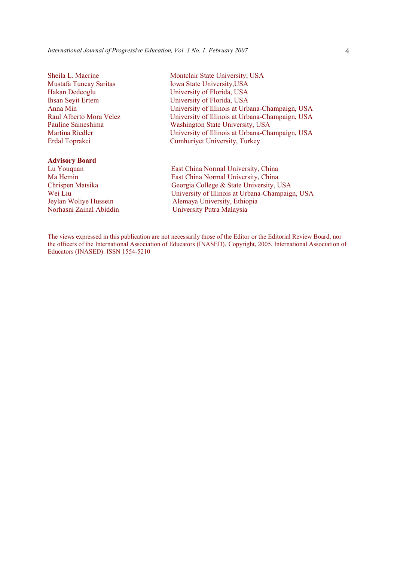Sheila L. Macrine Mustafa Tuncay Saritas Hakan Dedeoglu Ihsan Seyit Ertem Anna Min Raul Alberto Mora Velez Pauline Sameshima Martina Riedler Erdal Toprakci

#### Advisory Board

- 
- Montclair State University, USA Iowa State University,USA University of Florida, USA University of Florida, USA University of Illinois at Urbana-Champaign, USA University of Illinois at Urbana-Champaign, USA Washington State University, USA University of Illinois at Urbana-Champaign, USA Cumhuriyet University, Turkey

Lu Youquan East China Normal University, China Ma Hemin East China Normal University, China Chrispen Matsika Georgia College & State University, USA Wei Liu University of Illinois at Urbana-Champaign, USA Jeylan Woliye Hussein Alemaya University, Ethiopia Norhasni Zainal Abiddin University Putra Malaysia

The views expressed in this publication are not necessarily those of the Editor or the Editorial Review Board, nor the officers of the International Association of Educators (INASED). Copyright, 2005, International Association of Educators (INASED). ISSN 1554-5210